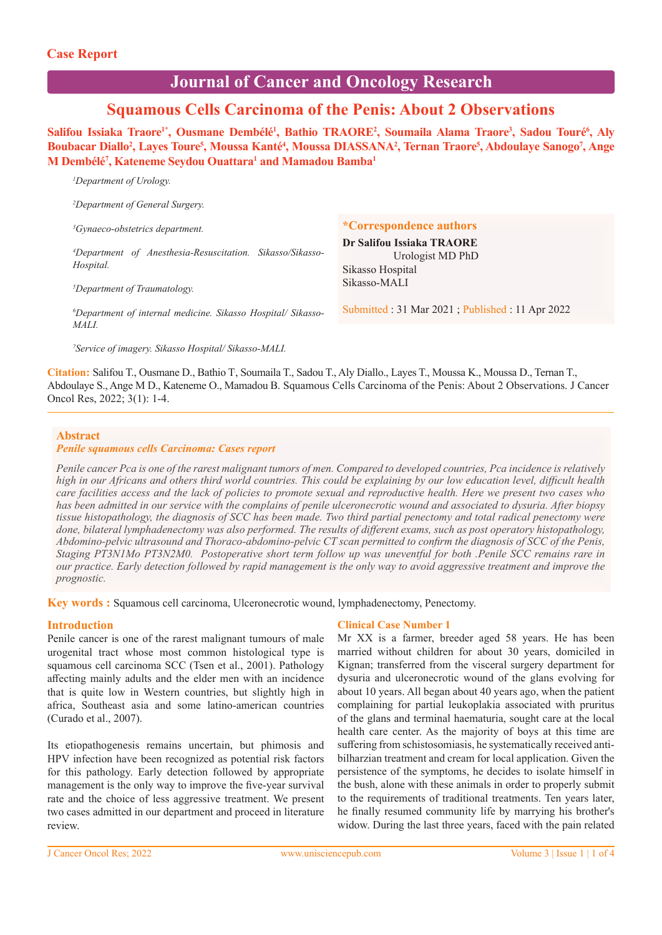*1 Department of Urology.* 

# **Journal of Cancer and Oncology Research**

## **Squamous Cells Carcinoma of the Penis: About 2 Observations**

Salifou Issiaka Traore<sup>1\*</sup>, Ousmane Dembélé<sup>1</sup>, Bathio TRAORE<sup>2</sup>, Soumaila Alama Traore<sup>3</sup>, Sadou Touré<sup>6</sup>, Aly Boubacar Diallo<sup>2</sup>, Layes Toure<sup>5</sup>, Moussa Kanté<sup>4</sup>, Moussa DIASSANA<sup>2</sup>, Ternan Traore<sup>5</sup>, Abdoulaye Sanogo<sup>7</sup>, Ange **M Dembélé7 , Kateneme Seydou Ouattara1 and Mamadou Bamba1**

**\*Correspondence authors Dr Salifou Issiaka TRAORE** Urologist MD PhD Sikasso Hospital Sikasso-MALI Submitted : 31 Mar 2021 ; Published : 11 Apr 2022 *2 Department of General Surgery. 3 Gynaeco-obstetrics department. 4 Department of Anesthesia-Resuscitation. Sikasso/Sikasso-Hospital. 5 Department of Traumatology. 6 Department of internal medicine. Sikasso Hospital/ Sikasso-MALI.* 

*7 Service of imagery. Sikasso Hospital/ Sikasso-MALI.* 

**Citation:** Salifou T., Ousmane D., Bathio T. , Soumaila T., Sadou T., Aly Diallo., Layes T., Moussa K., Moussa D., Ternan T., Abdoulaye S., Ange M D., Kateneme O., Mamadou B. Squamous Cells Carcinoma of the Penis: About 2 Observations. J Cancer Oncol Res, 2022; 3(1): 1-4.

#### **Abstract**

#### *Penile squamous cells Carcinoma: Cases report*

*Penile cancer Pca is one of the rarest malignant tumors of men. Compared to developed countries, Pca incidence is relatively high in our Africans and others third world countries. This could be explaining by our low education level, difficult health care facilities access and the lack of policies to promote sexual and reproductive health. Here we present two cases who has been admitted in our service with the complains of penile ulceronecrotic wound and associated to dysuria. After biopsy tissue histopathology, the diagnosis of SCC has been made. Two third partial penectomy and total radical penectomy were done, bilateral lymphadenectomy was also performed. The results of different exams, such as post operatory histopathology, Abdomino-pelvic ultrasound and Thoraco-abdomino-pelvic CT scan permitted to confirm the diagnosis of SCC of the Penis, Staging PT3N1Mo PT3N2M0. Postoperative short term follow up was uneventful for both .Penile SCC remains rare in our practice. Early detection followed by rapid management is the only way to avoid aggressive treatment and improve the prognostic.*

**Key words :** Squamous cell carcinoma, Ulceronecrotic wound, lymphadenectomy, Penectomy.

#### **Introduction**

Penile cancer is one of the rarest malignant tumours of male urogenital tract whose most common histological type is squamous cell carcinoma SCC (Tsen et al., 2001). Pathology affecting mainly adults and the elder men with an incidence that is quite low in Western countries, but slightly high in africa, Southeast asia and some latino-american countries (Curado et al., 2007).

Its etiopathogenesis remains uncertain, but phimosis and HPV infection have been recognized as potential risk factors for this pathology. Early detection followed by appropriate management is the only way to improve the five-year survival rate and the choice of less aggressive treatment. We present two cases admitted in our department and proceed in literature review.

#### **Clinical Case Number 1**

Mr XX is a farmer, breeder aged 58 years. He has been married without children for about 30 years, domiciled in Kignan; transferred from the visceral surgery department for dysuria and ulceronecrotic wound of the glans evolving for about 10 years. All began about 40 years ago, when the patient complaining for partial leukoplakia associated with pruritus of the glans and terminal haematuria, sought care at the local health care center. As the majority of boys at this time are suffering from schistosomiasis, he systematically received antibilharzian treatment and cream for local application. Given the persistence of the symptoms, he decides to isolate himself in the bush, alone with these animals in order to properly submit to the requirements of traditional treatments. Ten years later, he finally resumed community life by marrying his brother's widow. During the last three years, faced with the pain related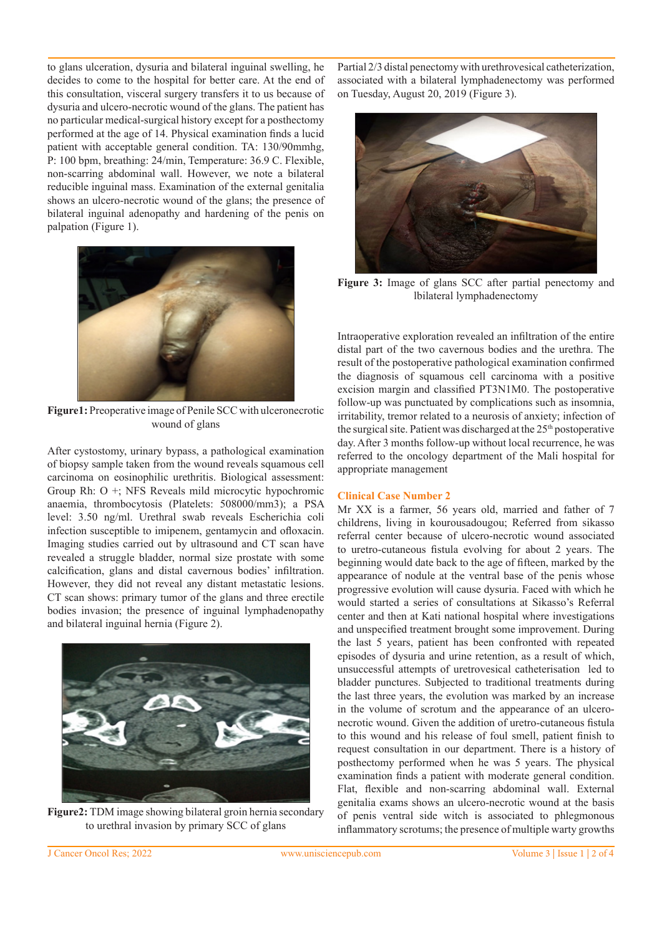to glans ulceration, dysuria and bilateral inguinal swelling, he decides to come to the hospital for better care. At the end of this consultation, visceral surgery transfers it to us because of dysuria and ulcero-necrotic wound of the glans. The patient has no particular medical-surgical history except for a posthectomy performed at the age of 14. Physical examination finds a lucid patient with acceptable general condition. TA: 130/90mmhg, P: 100 bpm, breathing: 24/min, Temperature: 36.9 C. Flexible, non-scarring abdominal wall. However, we note a bilateral reducible inguinal mass. Examination of the external genitalia shows an ulcero-necrotic wound of the glans; the presence of bilateral inguinal adenopathy and hardening of the penis on palpation (Figure 1).



**Figure1:** Preoperative image of Penile SCC with ulceronecrotic wound of glans

After cystostomy, urinary bypass, a pathological examination of biopsy sample taken from the wound reveals squamous cell carcinoma on eosinophilic urethritis. Biological assessment: Group Rh: O +; NFS Reveals mild microcytic hypochromic anaemia, thrombocytosis (Platelets: 508000/mm3); a PSA level: 3.50 ng/ml. Urethral swab reveals Escherichia coli infection susceptible to imipenem, gentamycin and ofloxacin. Imaging studies carried out by ultrasound and CT scan have revealed a struggle bladder, normal size prostate with some calcification, glans and distal cavernous bodies' infiltration. However, they did not reveal any distant metastatic lesions. CT scan shows: primary tumor of the glans and three erectile bodies invasion; the presence of inguinal lymphadenopathy and bilateral inguinal hernia (Figure 2).



**Figure2:** TDM image showing bilateral groin hernia secondary to urethral invasion by primary SCC of glans

Partial 2/3 distal penectomy with urethrovesical catheterization, associated with a bilateral lymphadenectomy was performed on Tuesday, August 20, 2019 (Figure 3).



**Figure 3:** Image of glans SCC after partial penectomy and lbilateral lymphadenectomy

Intraoperative exploration revealed an infiltration of the entire distal part of the two cavernous bodies and the urethra. The result of the postoperative pathological examination confirmed the diagnosis of squamous cell carcinoma with a positive excision margin and classified PT3N1M0. The postoperative follow-up was punctuated by complications such as insomnia, irritability, tremor related to a neurosis of anxiety; infection of the surgical site. Patient was discharged at the 25<sup>th</sup> postoperative day. After 3 months follow-up without local recurrence, he was referred to the oncology department of the Mali hospital for appropriate management

#### **Clinical Case Number 2**

Mr XX is a farmer, 56 years old, married and father of 7 childrens, living in kourousadougou; Referred from sikasso referral center because of ulcero-necrotic wound associated to uretro-cutaneous fistula evolving for about 2 years. The beginning would date back to the age of fifteen, marked by the appearance of nodule at the ventral base of the penis whose progressive evolution will cause dysuria. Faced with which he would started a series of consultations at Sikasso's Referral center and then at Kati national hospital where investigations and unspecified treatment brought some improvement. During the last 5 years, patient has been confronted with repeated episodes of dysuria and urine retention, as a result of which, unsuccessful attempts of uretrovesical catheterisation led to bladder punctures. Subjected to traditional treatments during the last three years, the evolution was marked by an increase in the volume of scrotum and the appearance of an ulceronecrotic wound. Given the addition of uretro-cutaneous fistula to this wound and his release of foul smell, patient finish to request consultation in our department. There is a history of posthectomy performed when he was 5 years. The physical examination finds a patient with moderate general condition. Flat, flexible and non-scarring abdominal wall. External genitalia exams shows an ulcero-necrotic wound at the basis of penis ventral side witch is associated to phlegmonous inflammatory scrotums; the presence of multiple warty growths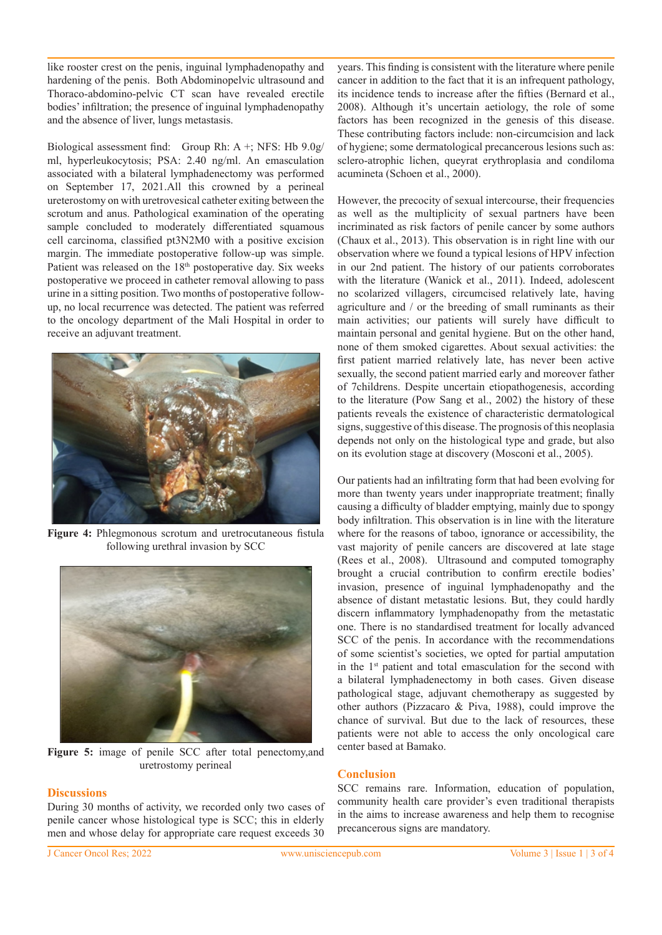like rooster crest on the penis, inguinal lymphadenopathy and hardening of the penis. Both Abdominopelvic ultrasound and Thoraco-abdomino-pelvic CT scan have revealed erectile bodies' infiltration; the presence of inguinal lymphadenopathy and the absence of liver, lungs metastasis.

Biological assessment find: Group Rh: A +; NFS: Hb 9.0g/ ml, hyperleukocytosis; PSA: 2.40 ng/ml. An emasculation associated with a bilateral lymphadenectomy was performed on September 17, 2021.All this crowned by a perineal ureterostomy on with uretrovesical catheter exiting between the scrotum and anus. Pathological examination of the operating sample concluded to moderately differentiated squamous cell carcinoma, classified pt3N2M0 with a positive excision margin. The immediate postoperative follow-up was simple. Patient was released on the 18<sup>th</sup> postoperative day. Six weeks postoperative we proceed in catheter removal allowing to pass urine in a sitting position. Two months of postoperative followup, no local recurrence was detected. The patient was referred to the oncology department of the Mali Hospital in order to receive an adjuvant treatment.



**Figure 4:** Phlegmonous scrotum and uretrocutaneous fistula following urethral invasion by SCC



**Figure 5:** image of penile SCC after total penectomy,and uretrostomy perineal

### **Discussions**

During 30 months of activity, we recorded only two cases of penile cancer whose histological type is SCC; this in elderly men and whose delay for appropriate care request exceeds 30 years. This finding is consistent with the literature where penile cancer in addition to the fact that it is an infrequent pathology, its incidence tends to increase after the fifties (Bernard et al., 2008). Although it's uncertain aetiology, the role of some factors has been recognized in the genesis of this disease. These contributing factors include: non-circumcision and lack of hygiene; some dermatological precancerous lesions such as: sclero-atrophic lichen, queyrat erythroplasia and condiloma acumineta (Schoen et al., 2000).

However, the precocity of sexual intercourse, their frequencies as well as the multiplicity of sexual partners have been incriminated as risk factors of penile cancer by some authors (Chaux et al., 2013). This observation is in right line with our observation where we found a typical lesions of HPV infection in our 2nd patient. The history of our patients corroborates with the literature (Wanick et al., 2011). Indeed, adolescent no scolarized villagers, circumcised relatively late, having agriculture and / or the breeding of small ruminants as their main activities; our patients will surely have difficult to maintain personal and genital hygiene. But on the other hand, none of them smoked cigarettes. About sexual activities: the first patient married relatively late, has never been active sexually, the second patient married early and moreover father of 7childrens. Despite uncertain etiopathogenesis, according to the literature (Pow Sang et al., 2002) the history of these patients reveals the existence of characteristic dermatological signs, suggestive of this disease. The prognosis of this neoplasia depends not only on the histological type and grade, but also on its evolution stage at discovery (Mosconi et al., 2005).

Our patients had an infiltrating form that had been evolving for more than twenty years under inappropriate treatment; finally causing a difficulty of bladder emptying, mainly due to spongy body infiltration. This observation is in line with the literature where for the reasons of taboo, ignorance or accessibility, the vast majority of penile cancers are discovered at late stage (Rees et al., 2008). Ultrasound and computed tomography brought a crucial contribution to confirm erectile bodies' invasion, presence of inguinal lymphadenopathy and the absence of distant metastatic lesions. But, they could hardly discern inflammatory lymphadenopathy from the metastatic one. There is no standardised treatment for locally advanced SCC of the penis. In accordance with the recommendations of some scientist's societies, we opted for partial amputation in the 1<sup>st</sup> patient and total emasculation for the second with a bilateral lymphadenectomy in both cases. Given disease pathological stage, adjuvant chemotherapy as suggested by other authors (Pizzacaro & Piva, 1988), could improve the chance of survival. But due to the lack of resources, these patients were not able to access the only oncological care center based at Bamako.

#### **Conclusion**

SCC remains rare. Information, education of population, community health care provider's even traditional therapists in the aims to increase awareness and help them to recognise precancerous signs are mandatory.